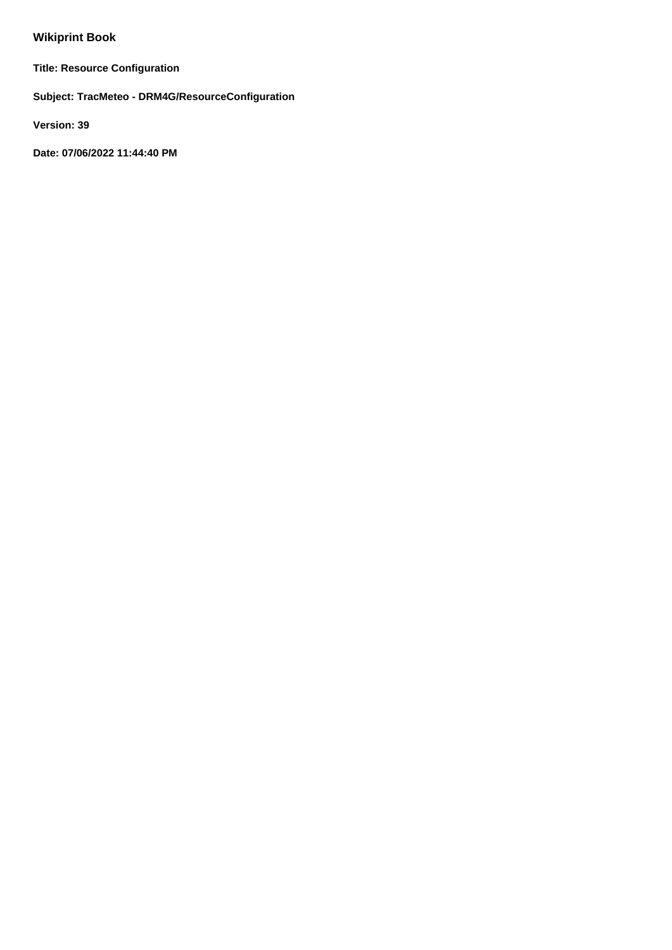# **Wikiprint Book**

**Title: Resource Configuration**

**Subject: TracMeteo - DRM4G/ResourceConfiguration**

**Version: 39**

**Date: 07/06/2022 11:44:40 PM**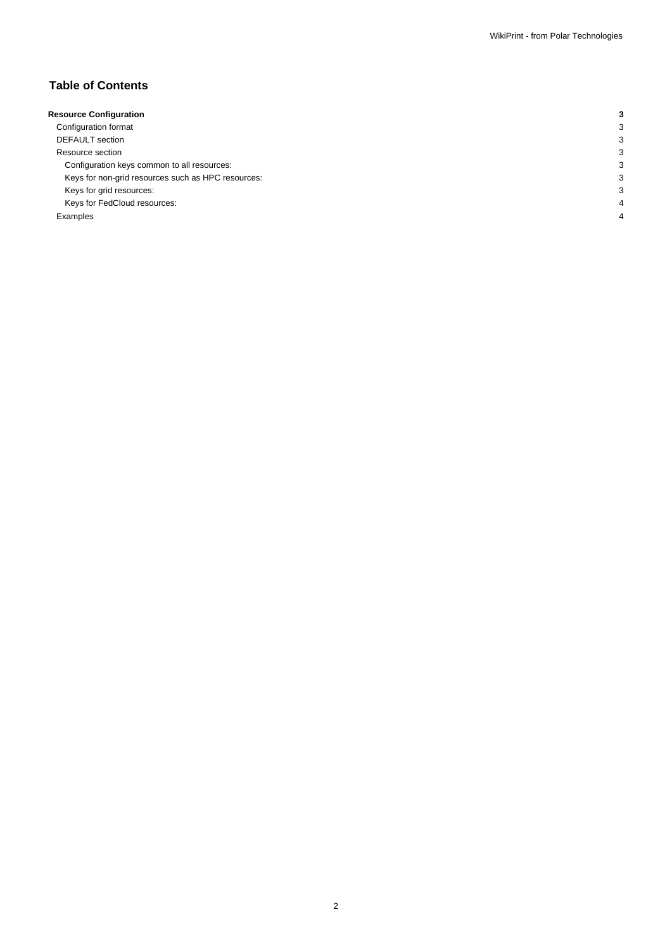## **Table of Contents**

| <b>Resource Configuration</b>                      |   |
|----------------------------------------------------|---|
| Configuration format                               |   |
| <b>DEFAULT</b> section                             |   |
| Resource section                                   |   |
| Configuration keys common to all resources:        | р |
| Keys for non-grid resources such as HPC resources: | З |
| Keys for grid resources:                           | З |
| Keys for FedCloud resources:                       |   |
| Examples                                           |   |
|                                                    |   |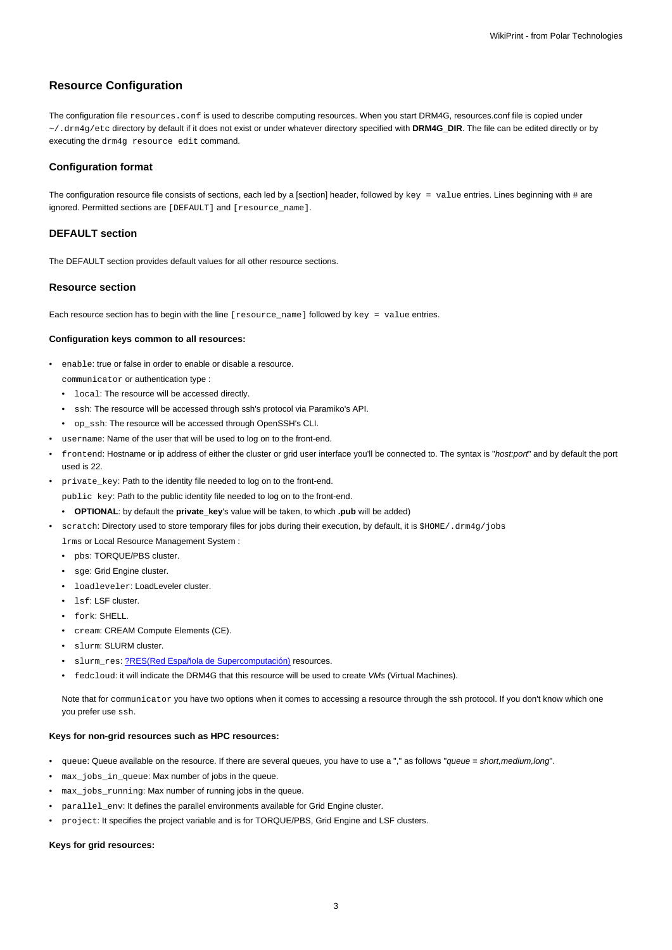## **Resource Configuration**

The configuration file resources.conf is used to describe computing resources. When you start DRM4G, resources.conf file is copied under ~/.drm4g/etc directory by default if it does not exist or under whatever directory specified with **DRM4G\_DIR**. The file can be edited directly or by executing the drm4g resource edit command.

### **Configuration format**

The configuration resource file consists of sections, each led by a [section] header, followed by  $key = value$  entries. Lines beginning with # are ignored. Permitted sections are [DEFAULT] and [resource\_name].

### **DEFAULT section**

The DEFAULT section provides default values for all other resource sections.

#### **Resource section**

Each resource section has to begin with the line [resource\_name] followed by key = value entries.

#### **Configuration keys common to all resources:**

enable: true or false in order to enable or disable a resource.

communicator or authentication type :

- local: The resource will be accessed directly.
- ssh: The resource will be accessed through ssh's protocol via Paramiko's API.
- op\_ssh: The resource will be accessed through OpenSSH's CLI.
- username: Name of the user that will be used to log on to the front-end.
- frontend: Hostname or ip address of either the cluster or grid user interface you'll be connected to. The syntax is "host:port" and by default the port used is 22.
- private\_key: Path to the identity file needed to log on to the front-end.

public key: Path to the public identity file needed to log on to the front-end.

- **OPTIONAL**: by default the **private\_key**'s value will be taken, to which **.pub** will be added)
- scratch: Directory used to store temporary files for jobs during their execution, by default, it is \$HOME/.drm4g/jobs

lrms or Local Resource Management System :

- pbs: TORQUE/PBS cluster.
- sge: Grid Engine cluster.
- loadleveler: LoadLeveler cluster.
- 1sf: LSF cluster.
- fork: SHELL.
- cream: CREAM Compute Elements (CE).
- slurm: SLURM cluster.
- slurm\_res: [?RES\(Red Española de Supercomputación\)](http://www.bsc.es/marenostrum-support-services/res) resources.
- fedcloud: it will indicate the DRM4G that this resource will be used to create VMs (Virtual Machines).

Note that for communicator you have two options when it comes to accessing a resource through the ssh protocol. If you don't know which one you prefer use ssh.

## **Keys for non-grid resources such as HPC resources:**

- queue: Queue available on the resource. If there are several queues, you have to use a "," as follows "queue = short, medium, long".
- max\_jobs\_in\_queue: Max number of jobs in the queue.
- max\_jobs\_running: Max number of running jobs in the queue.
- parallel\_env: It defines the parallel environments available for Grid Engine cluster.
- project: It specifies the project variable and is for TORQUE/PBS, Grid Engine and LSF clusters.

## **Keys for grid resources:**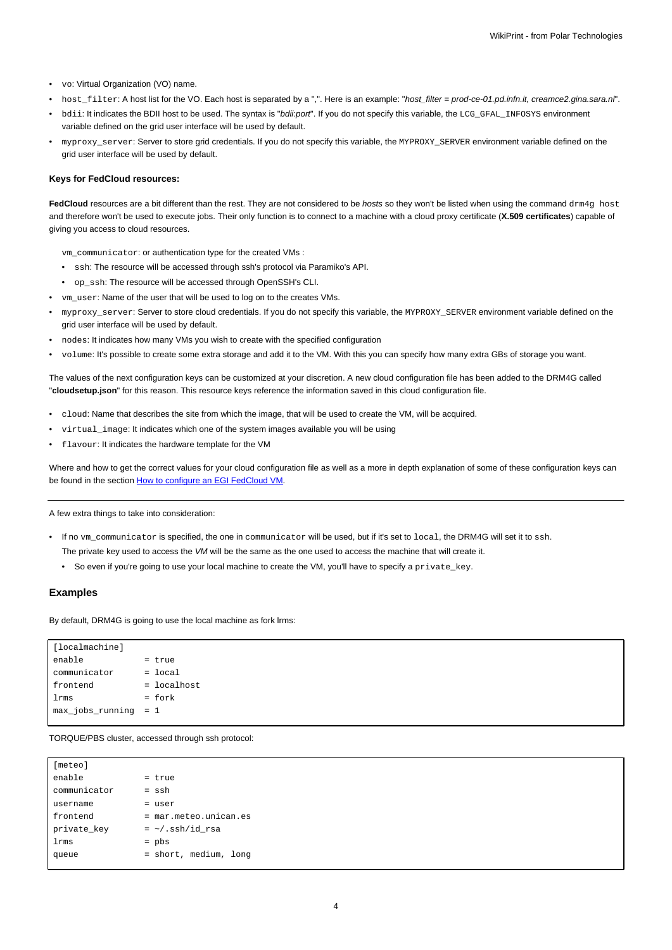- vo: Virtual Organization (VO) name.
- host\_filter: A host list for the VO. Each host is separated by a ",". Here is an example: "host\_filter = prod-ce-01.pd.infn.it, creamce2.gina.sara.nl".
- bdii: It indicates the BDII host to be used. The syntax is "bdii:port". If you do not specify this variable, the LCG\_GFAL\_INFOSYS environment variable defined on the grid user interface will be used by default.
- myproxy\_server: Server to store grid credentials. If you do not specify this variable, the MYPROXY\_SERVER environment variable defined on the grid user interface will be used by default.

#### **Keys for FedCloud resources:**

FedCloud resources are a bit different than the rest. They are not considered to be *hosts* so they won't be listed when using the command drm4g host and therefore won't be used to execute jobs. Their only function is to connect to a machine with a cloud proxy certificate (**X.509 certificates**) capable of giving you access to cloud resources.

vm\_communicator: or authentication type for the created VMs :

- ssh: The resource will be accessed through ssh's protocol via Paramiko's API.
- op\_ssh: The resource will be accessed through OpenSSH's CLI.
- vm\_user: Name of the user that will be used to log on to the creates VMs.
- myproxy\_server: Server to store cloud credentials. If you do not specify this variable, the MYPROXY\_SERVER environment variable defined on the grid user interface will be used by default.
- nodes: It indicates how many VMs you wish to create with the specified configuration
- volume: It's possible to create some extra storage and add it to the VM. With this you can specify how many extra GBs of storage you want.

The values of the next configuration keys can be customized at your discretion. A new cloud configuration file has been added to the DRM4G called "**cloudsetup.json**" for this reason. This resource keys reference the information saved in this cloud configuration file.

- cloud: Name that describes the site from which the image, that will be used to create the VM, will be acquired.
- virtual\_image: It indicates which one of the system images available you will be using
- flavour: It indicates the hardware template for the VM

Where and how to get the correct values for your cloud configuration file as well as a more in depth explanation of some of these configuration keys can be found in the section [How to configure an EGI FedCloud VM.](https://meteo.unican.es/trac/wiki/DRM4G/ResourceConfiguration/EGIFedCloud)

A few extra things to take into consideration:

- If no vm\_communicator is specified, the one in communicator will be used, but if it's set to local, the DRM4G will set it to ssh.
	- The private key used to access the VM will be the same as the one used to access the machine that will create it.
	- So even if you're going to use your local machine to create the VM, you'll have to specify a private\_key.

#### **Examples**

By default, DRM4G is going to use the local machine as fork lrms:

| [localmachine]          |             |
|-------------------------|-------------|
| enable                  | = true      |
| communicator            | $=$ local   |
| frontend                | = localhost |
| lrms                    | $=$ fork    |
| $max_jobs_r$ unning = 1 |             |
|                         |             |

TORQUE/PBS cluster, accessed through ssh protocol:

| [meteo]      |                         |
|--------------|-------------------------|
| enable       | = true                  |
| communicator | $=$ ssh                 |
| username     | = user                  |
| frontend     | = mar.meteo.unican.es   |
| private_key  | $=$ $\sim$ /.ssh/id_rsa |
| lrms         | $=$ pbs                 |
| queue        | = short, medium, long   |
|              |                         |